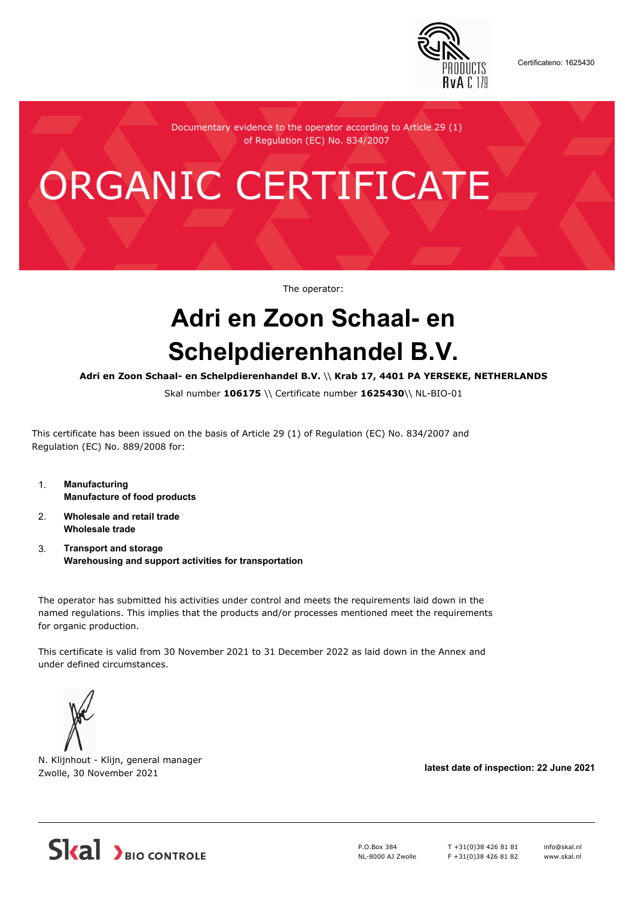

Certificateno: 1625430

Documentary evidence to the operator according to Article 29 (1) of Regulation (EC) No. 834/2007

## ORGANIC CERTIFICATE

The operator:

## **Adri en Zoon Schaal- en Schelpdierenhandel B.V.**

**Adri en Zoon Schaal- en Schelpdierenhandel B.V.** \\ **Krab 17, 4401 PA YERSEKE, NETHERLANDS**

Skal number **106175** \\ Certificate number **1625430**\\ NL-BIO-01

This certificate has been issued on the basis of Article 29 (1) of Regulation (EC) No. 834/2007 and Regulation (EC) No. 889/2008 for:

- 1. **Manufacturing Manufacture of food products**
- 2. **Wholesale and retail trade Wholesale trade**
- 3. **Transport and storage Warehousing and support activities for transportation**

The operator has submitted his activities under control and meets the requirements laid down in the named regulations. This implies that the products and/or processes mentioned meet the requirements for organic production.

This certificate is valid from 30 November 2021 to 31 December 2022 as laid down in the Annex and under defined circumstances.



N. Klijnhout - Klijn, general manager Zwolle, 30 November 2021 **latest date of inspection: 22 June 2021**



P.O.Box 384 NL-8000 AJ Zwolle T +31(0)38 426 81 81  $F + 31(0)384268182$